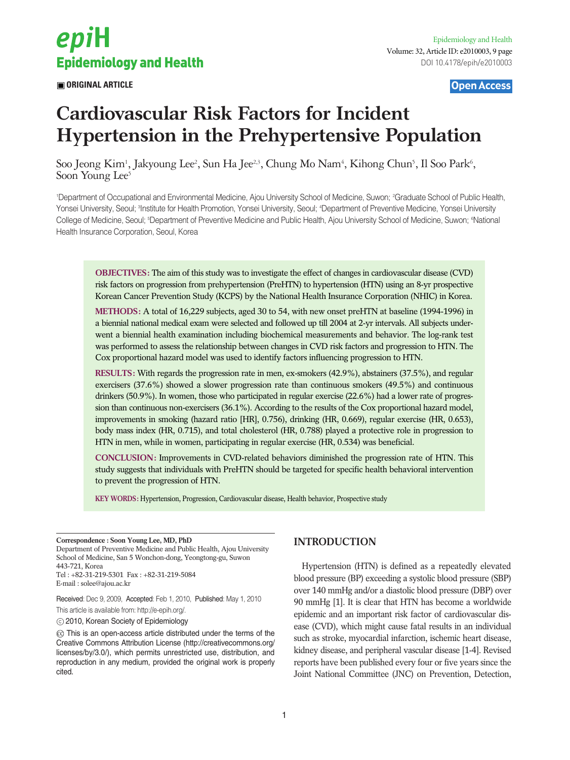

**ORIGINAL ARTICLE** 

Open Access

# **Cardiovascular Risk Factors for Incident Hypertension in the Prehypertensive Population**

Soo Jeong Kim<sup>1</sup>, Jakyoung Lee<sup>2</sup>, Sun Ha Jee<sup>2,3</sup>, Chung Mo Nam<sup>4</sup>, Kihong Chun<sup>5</sup>, Il Soo Park<sup>6</sup>, Soon Young Lee<sup>5</sup>

1 Department of Occupational and Environmental Medicine, Ajou University School of Medicine, Suwon; 2 Graduate School of Public Health, Yonsei University, Seoul; <sup>a</sup>lnstitute for Health Promotion, Yonsei University, Seoul; <sup>4</sup>Department of Preventive Medicine, Yonsei University College of Medicine, Seoul; <sup>s</sup>Department of Preventive Medicine and Public Health, Ajou University School of Medicine, Suwon; <sup>e</sup>National Health Insurance Corporation, Seoul, Korea

**OBJECTIVES:** The aim of this study was to investigate the effect of changes in cardiovascular disease (CVD) risk factors on progression from prehypertension (PreHTN) to hypertension (HTN) using an 8-yr prospective Korean Cancer Prevention Study (KCPS) by the National Health Insurance Corporation (NHIC) in Korea.

**METHODS:** A total of 16,229 subjects, aged 30 to 54, with new onset preHTN at baseline (1994-1996) in a biennial national medical exam were selected and followed up till 2004 at 2-yr intervals. All subjects underwent a biennial health examination including biochemical measurements and behavior. The log-rank test was performed to assess the relationship between changes in CVD risk factors and progression to HTN. The Cox proportional hazard model was used to identify factors influencing progression to HTN.

**RESULTS:** With regards the progression rate in men, ex-smokers (42.9%), abstainers (37.5%), and regular exercisers (37.6%) showed a slower progression rate than continuous smokers (49.5%) and continuous drinkers (50.9%). In women, those who participated in regular exercise (22.6%) had a lower rate of progression than continuous non-exercisers (36.1%). According to the results of the Cox proportional hazard model, improvements in smoking (hazard ratio [HR], 0.756), drinking (HR, 0.669), regular exercise (HR, 0.653), body mass index (HR, 0.715), and total cholesterol (HR, 0.788) played a protective role in progression to HTN in men, while in women, participating in regular exercise (HR, 0.534) was beneficial.

**CONCLUSION:** Improvements in CVD-related behaviors diminished the progression rate of HTN. This study suggests that individuals with PreHTN should be targeted for specific health behavioral intervention to prevent the progression of HTN.

**KEY WORDS:** Hypertension, Progression, Cardiovascular disease, Health behavior, Prospective study

**Correspondence : Soon Young Lee, MD, PhD** Department of Preventive Medicine and Public Health, Ajou University School of Medicine, San 5 Wonchon-dong, Yeongtong-gu, Suwon 443-721, Korea Tel : +82-31-219-5301 Fax : +82-31-219-5084 E-mail : solee@ajou.ac.kr

Received: Dec 9, 2009, Accepted: Feb 1, 2010, Published: May 1, 2010 This article is available from: http://e-epih.org/.

2010, Korean Society of Epidemiology

 $\odot$  This is an open-access article distributed under the terms of the Creative Commons Attribution License (http://creativecommons.org/ licenses/by/3.0/), which permits unrestricted use, distribution, and reproduction in any medium, provided the original work is properly cited.

# **INTRODUCTION**

Hypertension (HTN) is defined as a repeatedly elevated blood pressure (BP) exceeding a systolic blood pressure (SBP) over 140 mmHg and/or a diastolic blood pressure (DBP) over 90 mmHg [1]. It is clear that HTN has become a worldwide epidemic and an important risk factor of cardiovascular disease (CVD), which might cause fatal results in an individual such as stroke, myocardial infarction, ischemic heart disease, kidney disease, and peripheral vascular disease [1-4]. Revised reports have been published every four or five years since the Joint National Committee (JNC) on Prevention, Detection,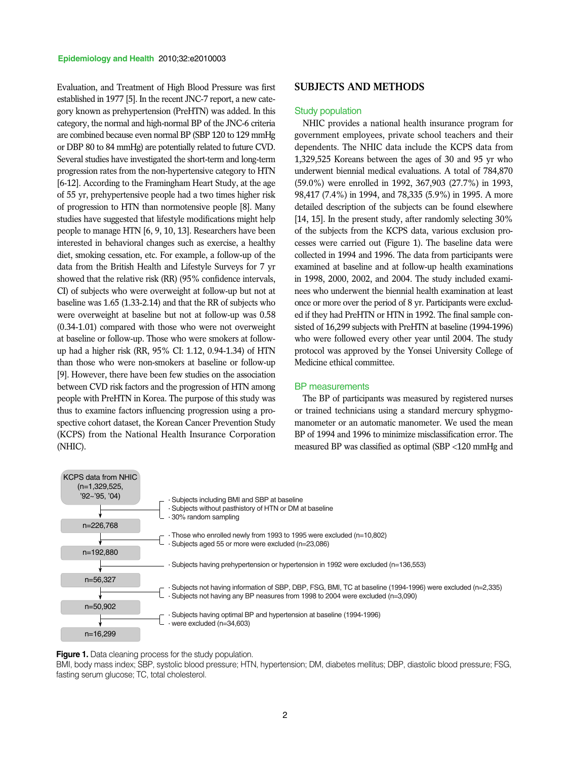Evaluation, and Treatment of High Blood Pressure was first established in 1977 [5]. In the recent JNC-7 report, a new category known as prehypertension (PreHTN) was added. In this category, the normal and high-normal BP of the JNC-6 criteria are combined because even normal BP (SBP 120 to 129 mmHg or DBP 80 to 84 mmHg) are potentially related to future CVD. Several studies have investigated the short-term and long-term progression rates from the non-hypertensive category to HTN [6-12]. According to the Framingham Heart Study, at the age of 55 yr, prehypertensive people had a two times higher risk of progression to HTN than normotensive people [8]. Many studies have suggested that lifestyle modifications might help people to manage HTN [6, 9, 10, 13]. Researchers have been interested in behavioral changes such as exercise, a healthy diet, smoking cessation, etc. For example, a follow-up of the data from the British Health and Lifestyle Surveys for 7 yr showed that the relative risk (RR) (95% confidence intervals, CI) of subjects who were overweight at follow-up but not at baseline was 1.65 (1.33-2.14) and that the RR of subjects who were overweight at baseline but not at follow-up was 0.58 (0.34-1.01) compared with those who were not overweight at baseline or follow-up. Those who were smokers at followup had a higher risk (RR, 95% CI: 1.12, 0.94-1.34) of HTN than those who were non-smokers at baseline or follow-up [9]. However, there have been few studies on the association between CVD risk factors and the progression of HTN among people with PreHTN in Korea. The purpose of this study was thus to examine factors influencing progression using a prospective cohort dataset, the Korean Cancer Prevention Study (KCPS) from the National Health Insurance Corporation (NHIC).

#### **SUBJECTS AND METHODS**

#### Study population

NHIC provides a national health insurance program for government employees, private school teachers and their dependents. The NHIC data include the KCPS data from 1,329,525 Koreans between the ages of 30 and 95 yr who underwent biennial medical evaluations. A total of 784,870 (59.0%) were enrolled in 1992, 367,903 (27.7%) in 1993, 98,417 (7.4%) in 1994, and 78,335 (5.9%) in 1995. A more detailed description of the subjects can be found elsewhere [14, 15]. In the present study, after randomly selecting 30% of the subjects from the KCPS data, various exclusion processes were carried out (Figure 1). The baseline data were collected in 1994 and 1996. The data from participants were examined at baseline and at follow-up health examinations in 1998, 2000, 2002, and 2004. The study included examinees who underwent the biennial health examination at least once or more over the period of 8 yr. Participants were excluded if they had PreHTN or HTN in 1992. The final sample consisted of 16,299 subjects with PreHTN at baseline (1994-1996) who were followed every other year until 2004. The study protocol was approved by the Yonsei University College of Medicine ethical committee.

#### BP measurements

The BP of participants was measured by registered nurses or trained technicians using a standard mercury sphygmomanometer or an automatic manometer. We used the mean BP of 1994 and 1996 to minimize misclassification error. The measured BP was classified as optimal (SBP <120 mmHg and



**Figure 1.** Data cleaning process for the study population.

BMI, body mass index; SBP, systolic blood pressure; HTN, hypertension; DM, diabetes mellitus; DBP, diastolic blood pressure; FSG, fasting serum glucose; TC, total cholesterol.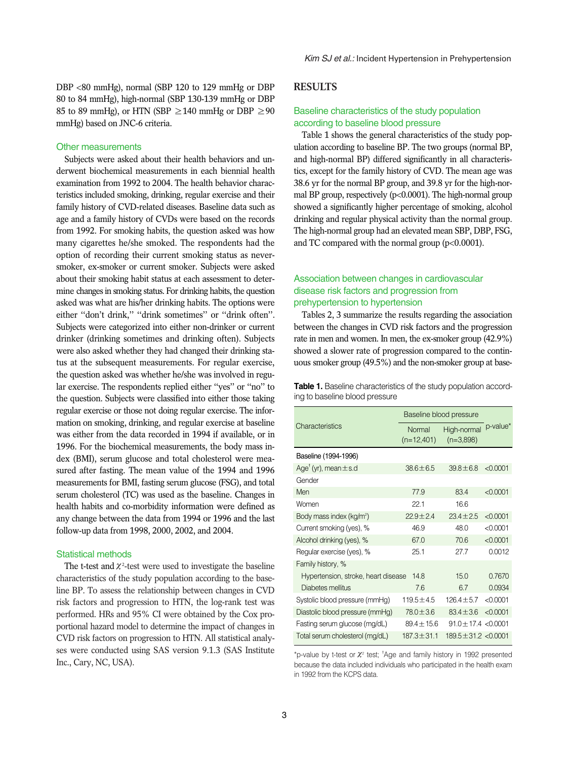DBP <80 mmHg), normal (SBP 120 to 129 mmHg or DBP 80 to 84 mmHg), high-normal (SBP 130-139 mmHg or DBP 85 to 89 mmHg), or HTN (SBP  $\geq$  140 mmHg or DBP  $\geq$  90 mmHg) based on JNC-6 criteria.

#### Other measurements

Subjects were asked about their health behaviors and underwent biochemical measurements in each biennial health examination from 1992 to 2004. The health behavior characteristics included smoking, drinking, regular exercise and their family history of CVD-related diseases. Baseline data such as age and a family history of CVDs were based on the records from 1992. For smoking habits, the question asked was how many cigarettes he/she smoked. The respondents had the option of recording their current smoking status as neversmoker, ex-smoker or current smoker. Subjects were asked about their smoking habit status at each assessment to determine changes in smoking status. For drinking habits, the question asked was what are his/her drinking habits. The options were either ''don't drink,'' ''drink sometimes'' or ''drink often''. Subjects were categorized into either non-drinker or current drinker (drinking sometimes and drinking often). Subjects were also asked whether they had changed their drinking status at the subsequent measurements. For regular exercise, the question asked was whether he/she was involved in regular exercise. The respondents replied either ''yes'' or ''no'' to the question. Subjects were classified into either those taking regular exercise or those not doing regular exercise. The information on smoking, drinking, and regular exercise at baseline was either from the data recorded in 1994 if available, or in 1996. For the biochemical measurements, the body mass index (BMI), serum glucose and total cholesterol were measured after fasting. The mean value of the 1994 and 1996 measurements for BMI, fasting serum glucose (FSG), and total serum cholesterol (TC) was used as the baseline. Changes in health habits and co-morbidity information were defined as any change between the data from 1994 or 1996 and the last follow-up data from 1998, 2000, 2002, and 2004.

#### Statistical methods

The t-test and  $\chi^2$ -test were used to investigate the baseline characteristics of the study population according to the baseline BP. To assess the relationship between changes in CVD risk factors and progression to HTN, the log-rank test was performed. HRs and 95% CI were obtained by the Cox proportional hazard model to determine the impact of changes in CVD risk factors on progression to HTN. All statistical analyses were conducted using SAS version 9.1.3 (SAS Institute Inc., Cary, NC, USA).

## **RESULTS**

### Baseline characteristics of the study population according to baseline blood pressure

Table 1 shows the general characteristics of the study population according to baseline BP. The two groups (normal BP, and high-normal BP) differed significantly in all characteristics, except for the family history of CVD. The mean age was 38.6 yr for the normal BP group, and 39.8 yr for the high-normal BP group, respectively (p<0.0001). The high-normal group showed a significantly higher percentage of smoking, alcohol drinking and regular physical activity than the normal group. The high-normal group had an elevated mean SBP, DBP, FSG, and TC compared with the normal group (p<0.0001).

## Association between changes in cardiovascular disease risk factors and progression from prehypertension to hypertension

Tables 2, 3 summarize the results regarding the association between the changes in CVD risk factors and the progression rate in men and women. In men, the ex-smoker group (42.9%) showed a slower rate of progression compared to the continuous smoker group (49.5%) and the non-smoker group at base-

**Table 1.** Baseline characteristics of the study population according to baseline blood pressure

|                                       | Baseline blood pressure |                              |          |
|---------------------------------------|-------------------------|------------------------------|----------|
| Characteristics                       | Normal<br>$(n=12,401)$  | High-normal<br>$(n=3,898)$   | p-value* |
| Baseline (1994-1996)                  |                         |                              |          |
| Age <sup>T</sup> (yr), mean $\pm$ s.d | $38.6 \pm 6.5$          | $39.8 \pm 6.8$               | < 0.0001 |
| Gender                                |                         |                              |          |
| Men                                   | 77.9                    | 83.4                         | < 0.0001 |
| Women                                 | 221                     | 166                          |          |
| Body mass index (kg/m <sup>2</sup> )  | $22.9 + 2.4$            | $23.4 \pm 2.5$               | < 0.0001 |
| Current smoking (yes), %              | 46.9                    | 48.0                         | < 0.0001 |
| Alcohol drinking (yes), %             | 67.0                    | 70.6                         | < 0.0001 |
| Regular exercise (yes), %             | 25.1                    | 27.7                         | 0.0012   |
| Family history, %                     |                         |                              |          |
| Hypertension, stroke, heart disease   | 148                     | 15.0                         | 0.7670   |
| Diabetes mellitus                     | 7.6                     | 67                           | 0.0934   |
| Systolic blood pressure (mmHg)        | $119.5 \pm 4.5$         | $126.4 \pm 5.7$              | < 0.0001 |
| Diastolic blood pressure (mmHg)       | $78.0 \pm 3.6$          | $83.4 \pm 3.6$               | < 0.0001 |
| Fasting serum glucose (mg/dL)         | $89.4 \pm 15.6$         | $91.0 \pm 17.4$ <0.0001      |          |
| Total serum cholesterol (mg/dL)       | $187.3 \pm 31.1$        | $189.5 \pm 31.2 \leq 0.0001$ |          |

\*p-value by t-test or  $\chi^2$  test; <sup>†</sup>Age and family history in 1992 presented because the data included individuals who participated in the health exam in 1992 from the KCPS data.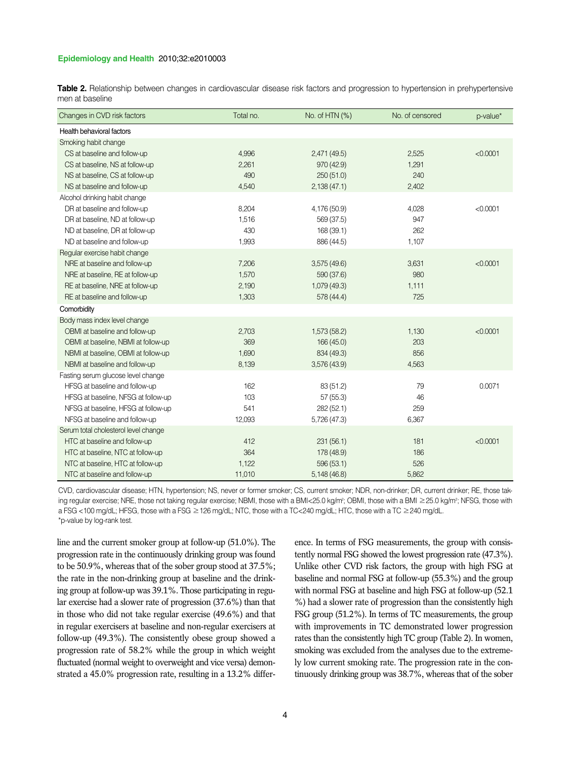#### **Epidemiology and Health** 2010;32:e2010003

**Table 2.** Relationship between changes in cardiovascular disease risk factors and progression to hypertension in prehypertensive men at baseline

| Changes in CVD risk factors          | Total no. | No. of HTN (%) | No. of censored | p-value* |
|--------------------------------------|-----------|----------------|-----------------|----------|
| Health behavioral factors            |           |                |                 |          |
| Smoking habit change                 |           |                |                 |          |
| CS at baseline and follow-up         | 4,996     | 2,471(49.5)    | 2,525           | < 0.0001 |
| CS at baseline, NS at follow-up      | 2,261     | 970 (42.9)     | 1,291           |          |
| NS at baseline, CS at follow-up      | 490       | 250(51.0)      | 240             |          |
| NS at baseline and follow-up         | 4,540     | 2,138(47.1)    | 2,402           |          |
| Alcohol drinking habit change        |           |                |                 |          |
| DR at baseline and follow-up         | 8,204     | 4,176 (50.9)   | 4,028           | < 0.0001 |
| DR at baseline, ND at follow-up      | 1,516     | 569 (37.5)     | 947             |          |
| ND at baseline, DR at follow-up      | 430       | 168 (39.1)     | 262             |          |
| ND at baseline and follow-up         | 1,993     | 886 (44.5)     | 1,107           |          |
| Regular exercise habit change        |           |                |                 |          |
| NRE at baseline and follow-up        | 7,206     | 3,575(49.6)    | 3,631           | < 0.0001 |
| NRE at baseline, RE at follow-up     | 1,570     | 590 (37.6)     | 980             |          |
| RE at baseline, NRE at follow-up     | 2,190     | 1,079 (49.3)   | 1,111           |          |
| RE at baseline and follow-up         | 1,303     | 578 (44.4)     | 725             |          |
| Comorbidity                          |           |                |                 |          |
| Body mass index level change         |           |                |                 |          |
| OBMI at baseline and follow-up       | 2,703     | 1,573 (58.2)   | 1,130           | < 0.0001 |
| OBMI at baseline, NBMI at follow-up  | 369       | 166 (45.0)     | 203             |          |
| NBMI at baseline, OBMI at follow-up  | 1,690     | 834 (49.3)     | 856             |          |
| NBMI at baseline and follow-up       | 8,139     | 3,576 (43.9)   | 4,563           |          |
| Fasting serum glucose level change   |           |                |                 |          |
| HFSG at baseline and follow-up       | 162       | 83 (51.2)      | 79              | 0.0071   |
| HFSG at baseline, NFSG at follow-up  | 103       | 57(55.3)       | 46              |          |
| NFSG at baseline, HFSG at follow-up  | 541       | 282 (52.1)     | 259             |          |
| NFSG at baseline and follow-up       | 12,093    | 5,726 (47.3)   | 6,367           |          |
| Serum total cholesterol level change |           |                |                 |          |
| HTC at baseline and follow-up        | 412       | 231(56.1)      | 181             | < 0.0001 |
| HTC at baseline, NTC at follow-up    | 364       | 178 (48.9)     | 186             |          |
| NTC at baseline, HTC at follow-up    | 1,122     | 596 (53.1)     | 526             |          |
| NTC at baseline and follow-up        | 11,010    | 5,148 (46.8)   | 5,862           |          |

CVD, cardiovascular disease; HTN, hypertension; NS, never or former smoker; CS, current smoker; NDR, non-drinker; DR, current drinker; RE, those taking regular exercise; NRE, those not taking regular exercise; NBMI, those with a BMI<25.0 kg/m²; OBMI, those with a BMI ≥25.0 kg/m²; NFSG, those with a FSG <100 mg/dL; HFSG, those with a FSG ≥126 mg/dL; NTC, those with a TC<240 mg/dL; HTC, those with a TC ≥240 mg/dL. \*p-value by log-rank test.

line and the current smoker group at follow-up (51.0%). The progression rate in the continuously drinking group was found to be 50.9%, whereas that of the sober group stood at 37.5%; the rate in the non-drinking group at baseline and the drinking group at follow-up was 39.1%. Those participating in regular exercise had a slower rate of progression (37.6%) than that in those who did not take regular exercise (49.6%) and that in regular exercisers at baseline and non-regular exercisers at follow-up (49.3%). The consistently obese group showed a progression rate of 58.2% while the group in which weight fluctuated (normal weight to overweight and vice versa) demonstrated a 45.0% progression rate, resulting in a 13.2% difference. In terms of FSG measurements, the group with consistently normal FSG showed the lowest progression rate (47.3%). Unlike other CVD risk factors, the group with high FSG at baseline and normal FSG at follow-up (55.3%) and the group with normal FSG at baseline and high FSG at follow-up (52.1 %) had a slower rate of progression than the consistently high FSG group (51.2%). In terms of TC measurements, the group with improvements in TC demonstrated lower progression rates than the consistently high TC group (Table 2). In women, smoking was excluded from the analyses due to the extremely low current smoking rate. The progression rate in the continuously drinking group was 38.7%, whereas that of the sober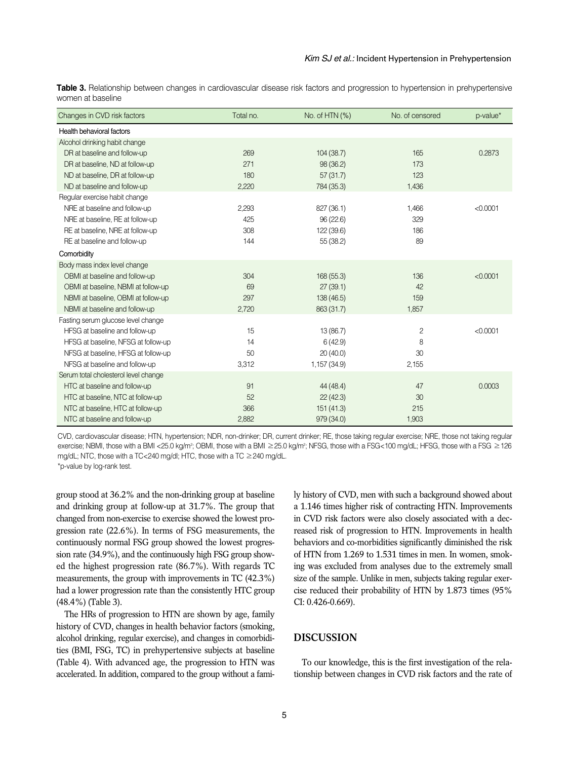**Table 3.** Relationship between changes in cardiovascular disease risk factors and progression to hypertension in prehypertensive women at baseline

| Changes in CVD risk factors          | Total no. | No. of HTN (%) | No. of censored | p-value* |
|--------------------------------------|-----------|----------------|-----------------|----------|
| Health behavioral factors            |           |                |                 |          |
| Alcohol drinking habit change        |           |                |                 |          |
| DR at baseline and follow-up         | 269       | 104(38.7)      | 165             | 0.2873   |
| DR at baseline, ND at follow-up      | 271       | 98 (36.2)      | 173             |          |
| ND at baseline, DR at follow-up      | 180       | 57(31.7)       | 123             |          |
| ND at baseline and follow-up         | 2,220     | 784 (35.3)     | 1,436           |          |
| Regular exercise habit change        |           |                |                 |          |
| NRE at baseline and follow-up        | 2,293     | 827 (36.1)     | 1,466           | < 0.0001 |
| NRE at baseline, RE at follow-up     | 425       | 96(22.6)       | 329             |          |
| RE at baseline, NRE at follow-up     | 308       | 122 (39.6)     | 186             |          |
| RE at baseline and follow-up         | 144       | 55 (38.2)      | 89              |          |
| Comorbidity                          |           |                |                 |          |
| Body mass index level change         |           |                |                 |          |
| OBMI at baseline and follow-up       | 304       | 168 (55.3)     | 136             | < 0.0001 |
| OBMI at baseline, NBMI at follow-up  | 69        | 27(39.1)       | 42              |          |
| NBMI at baseline, OBMI at follow-up  | 297       | 138(46.5)      | 159             |          |
| NBMI at baseline and follow-up       | 2,720     | 863 (31.7)     | 1,857           |          |
| Fasting serum glucose level change   |           |                |                 |          |
| HFSG at baseline and follow-up       | 15        | 13 (86.7)      | $\overline{c}$  | < 0.0001 |
| HFSG at baseline, NFSG at follow-up  | 14        | 6(42.9)        | 8               |          |
| NFSG at baseline, HFSG at follow-up  | 50        | 20(40.0)       | 30              |          |
| NFSG at baseline and follow-up       | 3,312     | 1,157 (34.9)   | 2,155           |          |
| Serum total cholesterol level change |           |                |                 |          |
| HTC at baseline and follow-up        | 91        | 44 (48.4)      | 47              | 0.0003   |
| HTC at baseline, NTC at follow-up    | 52        | 22(42.3)       | 30              |          |
| NTC at baseline, HTC at follow-up    | 366       | 151(41.3)      | 215             |          |
| NTC at baseline and follow-up        | 2,882     | 979 (34.0)     | 1,903           |          |

CVD, cardiovascular disease; HTN, hypertension; NDR, non-drinker; DR, current drinker; RE, those taking regular exercise; NRE, those not taking regular exercise; NBMI, those with a BMI <25.0 kg/m²; OBMI, those with a BMI ≥25.0 kg/m²; NFSG, those with a FSG<100 mg/dL; HFSG, those with a FSG ≥126 mg/dL; NTC, those with a TC<240 mg/dl; HTC, those with a TC ≥240 mg/dL. \*p-value by log-rank test.

group stood at 36.2% and the non-drinking group at baseline and drinking group at follow-up at 31.7%. The group that changed from non-exercise to exercise showed the lowest progression rate (22.6%). In terms of FSG measurements, the continuously normal FSG group showed the lowest progression rate (34.9%), and the continuously high FSG group showed the highest progression rate (86.7%). With regards TC measurements, the group with improvements in TC (42.3%) had a lower progression rate than the consistently HTC group (48.4%) (Table 3).

The HRs of progression to HTN are shown by age, family history of CVD, changes in health behavior factors (smoking, alcohol drinking, regular exercise), and changes in comorbidities (BMI, FSG, TC) in prehypertensive subjects at baseline (Table 4). With advanced age, the progression to HTN was accelerated. In addition, compared to the group without a family history of CVD, men with such a background showed about a 1.146 times higher risk of contracting HTN. Improvements in CVD risk factors were also closely associated with a decreased risk of progression to HTN. Improvements in health behaviors and co-morbidities significantly diminished the risk of HTN from 1.269 to 1.531 times in men. In women, smoking was excluded from analyses due to the extremely small size of the sample. Unlike in men, subjects taking regular exercise reduced their probability of HTN by 1.873 times (95% CI: 0.426-0.669).

## **DISCUSSION**

To our knowledge, this is the first investigation of the relationship between changes in CVD risk factors and the rate of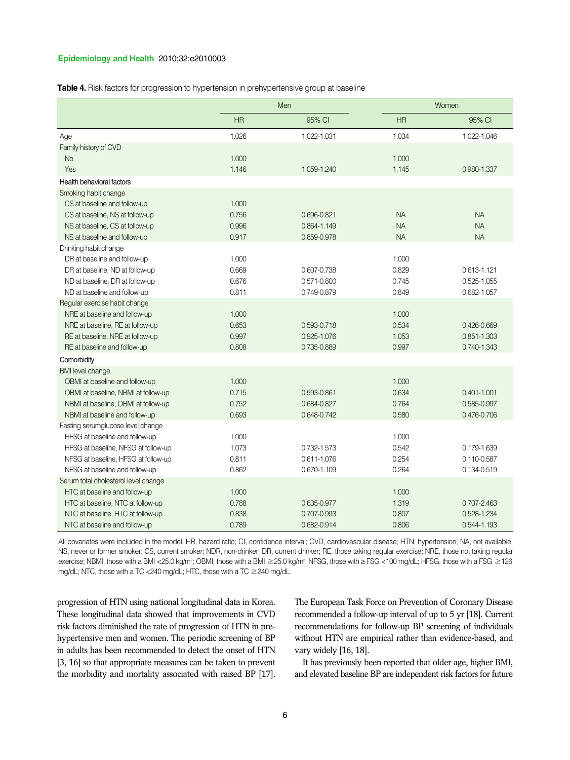#### **Epidemiology and Health** 2010;32:e2010003

**Table 4.** Risk factors for progression to hypertension in prehypertensive group at baseline

|                                      | Men       |             | Women     |                 |
|--------------------------------------|-----------|-------------|-----------|-----------------|
|                                      | <b>HR</b> | 95% CI      | <b>HR</b> | 95% CI          |
| Age                                  | 1.026     | 1.022-1.031 | 1.034     | 1.022-1.046     |
| Family history of CVD                |           |             |           |                 |
| <b>No</b>                            | 1.000     |             | 1.000     |                 |
| Yes                                  | 1.146     | 1.059-1.240 | 1.145     | 0.980-1.337     |
| <b>Health behavioral factors</b>     |           |             |           |                 |
| Smoking habit change                 |           |             |           |                 |
| CS at baseline and follow-up         | 1.000     |             |           |                 |
| CS at baseline, NS at follow-up      | 0.756     | 0.696-0.821 | <b>NA</b> | <b>NA</b>       |
| NS at baseline, CS at follow-up      | 0.996     | 0.864-1.149 | <b>NA</b> | <b>NA</b>       |
| NS at baseline and follow-up         | 0.917     | 0.859-0.978 | <b>NA</b> | <b>NA</b>       |
| Drinking habit change                |           |             |           |                 |
| DR at baseline and follow-up         | 1.000     |             | 1.000     |                 |
| DR at baseline, ND at follow-up      | 0.669     | 0.607-0.738 | 0.829     | 0.613-1.121     |
| ND at baseline, DR at follow-up      | 0.676     | 0.571-0.800 | 0.745     | 0.525-1.055     |
| ND at baseline and follow-up         | 0.811     | 0.749-0.879 | 0.849     | 0.682-1.057     |
| Regular exercise habit change        |           |             |           |                 |
| NRE at baseline and follow-up        | 1.000     |             | 1.000     |                 |
| NRE at baseline, RE at follow-up     | 0.653     | 0.593-0.718 | 0.534     | 0.426-0.669     |
| RE at baseline, NRE at follow-up     | 0.997     | 0.925-1.076 | 1.053     | 0.851-1.303     |
| RE at baseline and follow-up         | 0.808     | 0.735-0.889 | 0.997     | 0.740-1.343     |
| Comorbidity                          |           |             |           |                 |
| <b>BMI</b> level change              |           |             |           |                 |
| OBMI at baseline and follow-up       | 1.000     |             | 1.000     |                 |
| OBMI at baseline, NBMI at follow-up  | 0.715     | 0.593-0.861 | 0.634     | $0.401 - 1.001$ |
| NBMI at baseline, OBMI at follow-up  | 0.752     | 0.684-0.827 | 0.764     | 0.585-0.997     |
| NBMI at baseline and follow-up       | 0.693     | 0.648-0.742 | 0.580     | 0.476-0.706     |
| Fasting serumglucose level change    |           |             |           |                 |
| HFSG at baseline and follow-up       | 1.000     |             | 1.000     |                 |
| HFSG at baseline, NFSG at follow-up  | 1.073     | 0.732-1.573 | 0.542     | 0.179-1.639     |
| NFSG at baseline, HFSG at follow-up  | 0.811     | 0.611-1.076 | 0.254     | 0.110-0.587     |
| NFSG at baseline and follow-up       | 0.862     | 0.670-1.109 | 0.264     | 0.134-0.519     |
| Serum total cholesterol level change |           |             |           |                 |
| HTC at baseline and follow-up        | 1.000     |             | 1.000     |                 |
| HTC at baseline, NTC at follow-up    | 0.788     | 0.635-0.977 | 1.319     | 0.707-2.463     |
| NTC at baseline, HTC at follow-up    | 0.838     | 0.707-0.993 | 0.807     | 0.528-1.234     |
| NTC at baseline and follow-up        | 0.789     | 0.682-0.914 | 0.806     | 0.544-1.193     |

All covariates were included in the model. HR, hazard ratio; CI, confidence interval; CVD, cardiovascular disease; HTN, hypertension; NA, not available; NS, never or former smoker; CS, current smoker; NDR, non-drinker; DR, current drinker; RE, those taking regular exercise; NRE, those not taking regular exercise; NBMI, those with a BMI <25.0 kg/m²; OBMI, those with a BMI ≥25.0 kg/m²; NFSG, those with a FSG <100 mg/dL; HFSG, those with a FSG ≥126 mg/dL; NTC, those with a TC <240 mg/dL; HTC, those with a TC ≥240 mg/dL.

progression of HTN using national longitudinal data in Korea. These longitudinal data showed that improvements in CVD risk factors diminished the rate of progression of HTN in prehypertensive men and women. The periodic screening of BP in adults has been recommended to detect the onset of HTN [3, 16] so that appropriate measures can be taken to prevent the morbidity and mortality associated with raised BP [17]. The European Task Force on Prevention of Coronary Disease recommended a follow-up interval of up to 5 yr [18]. Current recommendations for follow-up BP screening of individuals without HTN are empirical rather than evidence-based, and vary widely [16, 18].

It has previously been reported that older age, higher BMI, and elevated baseline BP are independent risk factors for future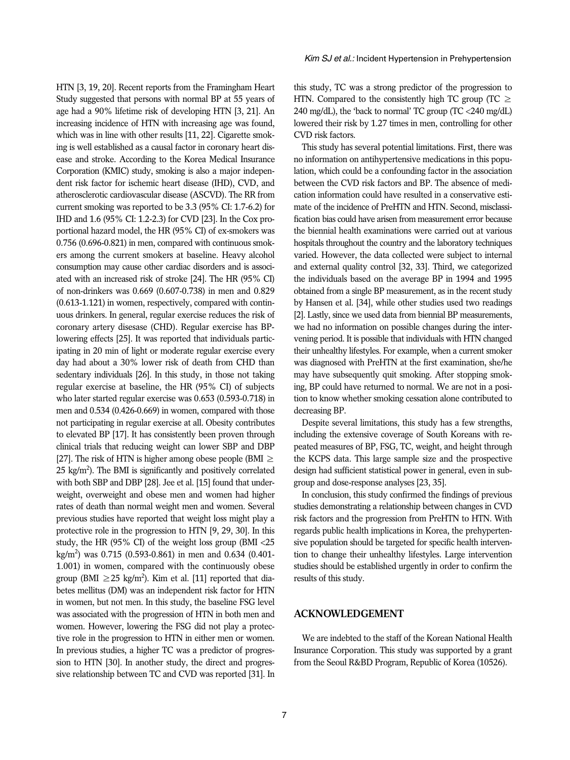HTN [3, 19, 20]. Recent reports from the Framingham Heart Study suggested that persons with normal BP at 55 years of age had a 90% lifetime risk of developing HTN [3, 21]. An increasing incidence of HTN with increasing age was found, which was in line with other results [11, 22]. Cigarette smoking is well established as a causal factor in coronary heart disease and stroke. According to the Korea Medical Insurance Corporation (KMIC) study, smoking is also a major independent risk factor for ischemic heart disease (IHD), CVD, and atherosclerotic cardiovascular disease (ASCVD). The RR from current smoking was reported to be 3.3 (95% CI: 1.7-6.2) for IHD and 1.6 (95% CI: 1.2-2.3) for CVD [23]. In the Cox proportional hazard model, the HR (95% CI) of ex-smokers was 0.756 (0.696-0.821) in men, compared with continuous smokers among the current smokers at baseline. Heavy alcohol consumption may cause other cardiac disorders and is associated with an increased risk of stroke [24]. The HR (95% CI) of non-drinkers was 0.669 (0.607-0.738) in men and 0.829 (0.613-1.121) in women, respectively, compared with continuous drinkers. In general, regular exercise reduces the risk of coronary artery disesase (CHD). Regular exercise has BPlowering effects [25]. It was reported that individuals participating in 20 min of light or moderate regular exercise every day had about a 30% lower risk of death from CHD than sedentary individuals [26]. In this study, in those not taking regular exercise at baseline, the HR (95% CI) of subjects who later started regular exercise was 0.653 (0.593-0.718) in men and 0.534 (0.426-0.669) in women, compared with those not participating in regular exercise at all. Obesity contributes to elevated BP [17]. It has consistently been proven through clinical trials that reducing weight can lower SBP and DBP [27]. The risk of HTN is higher among obese people (BMI  $\geq$  $25 \text{ kg/m}^2$ ). The BMI is significantly and positively correlated with both SBP and DBP [28]. Jee et al. [15] found that underweight, overweight and obese men and women had higher rates of death than normal weight men and women. Several previous studies have reported that weight loss might play a protective role in the progression to HTN [9, 29, 30]. In this study, the HR (95% CI) of the weight loss group (BMI <25 kg/m2 ) was 0.715 (0.593-0.861) in men and 0.634 (0.401- 1.001) in women, compared with the continuously obese group (BMI  $\geq$  25 kg/m<sup>2</sup>). Kim et al. [11] reported that diabetes mellitus (DM) was an independent risk factor for HTN in women, but not men. In this study, the baseline FSG level was associated with the progression of HTN in both men and women. However, lowering the FSG did not play a protective role in the progression to HTN in either men or women. In previous studies, a higher TC was a predictor of progression to HTN [30]. In another study, the direct and progressive relationship between TC and CVD was reported [31]. In

this study, TC was a strong predictor of the progression to HTN. Compared to the consistently high TC group (TC  $\geq$ 240 mg/dL), the 'back to normal' TC group (TC <240 mg/dL) lowered their risk by 1.27 times in men, controlling for other CVD risk factors.

This study has several potential limitations. First, there was no information on antihypertensive medications in this population, which could be a confounding factor in the association between the CVD risk factors and BP. The absence of medication information could have resulted in a conservative estimate of the incidence of PreHTN and HTN. Second, misclassification bias could have arisen from measurement error because the biennial health examinations were carried out at various hospitals throughout the country and the laboratory techniques varied. However, the data collected were subject to internal and external quality control [32, 33]. Third, we categorized the individuals based on the average BP in 1994 and 1995 obtained from a single BP measurement, as in the recent study by Hansen et al. [34], while other studies used two readings [2]. Lastly, since we used data from biennial BP measurements, we had no information on possible changes during the intervening period. It is possible that individuals with HTN changed their unhealthy lifestyles. For example, when a current smoker was diagnosed with PreHTN at the first examination, she/he may have subsequently quit smoking. After stopping smoking, BP could have returned to normal. We are not in a position to know whether smoking cessation alone contributed to decreasing BP.

Despite several limitations, this study has a few strengths, including the extensive coverage of South Koreans with repeated measures of BP, FSG, TC, weight, and height through the KCPS data. This large sample size and the prospective design had sufficient statistical power in general, even in subgroup and dose-response analyses [23, 35].

In conclusion, this study confirmed the findings of previous studies demonstrating a relationship between changes in CVD risk factors and the progression from PreHTN to HTN. With regards public health implications in Korea, the prehypertensive population should be targeted for specific health intervention to change their unhealthy lifestyles. Large intervention studies should be established urgently in order to confirm the results of this study.

#### **ACKNOWLEDGEMENT**

We are indebted to the staff of the Korean National Health Insurance Corporation. This study was supported by a grant from the Seoul R&BD Program, Republic of Korea (10526).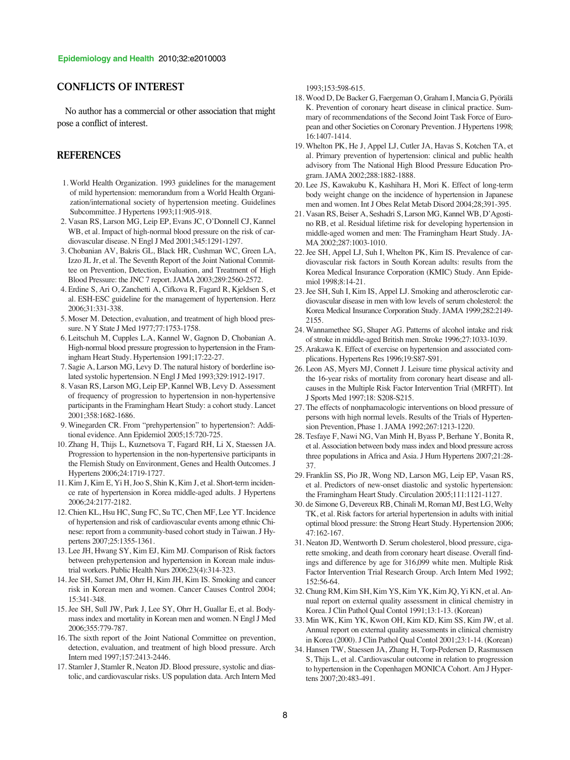## **CONFLICTS OF INTEREST**

No author has a commercial or other association that might pose a conflict of interest.

# **REFERENCES**

- 1. World Health Organization. 1993 guidelines for the management of mild hypertension: memorandum from a World Health Organization/international society of hypertension meeting. Guidelines Subcommittee. J Hypertens 1993;11:905-918.
- 2. Vasan RS, Larson MG, Leip EP, Evans JC, O'Donnell CJ, Kannel WB, et al. Impact of high-normal blood pressure on the risk of cardiovascular disease. N Engl J Med 2001;345:1291-1297.
- 3. Chobanian AV, Bakris GL, Black HR, Cushman WC, Green LA, Izzo JL Jr, et al. The Seventh Report of the Joint National Committee on Prevention, Detection, Evaluation, and Treatment of High Blood Pressure: the JNC 7 report. JAMA 2003;289:2560-2572.
- 4. Erdine S, Ari O, Zanchetti A, Cifkova R, Fagard R, Kjeldsen S, et al. ESH-ESC guideline for the management of hypertension. Herz 2006;31:331-338.
- 5. Moser M. Detection, evaluation, and treatment of high blood pressure. N Y State J Med 1977;77:1753-1758.
- 6. Leitschuh M, Cupples L.A, Kannel W, Gagnon D, Chobanian A. High-normal blood pressure progression to hypertension in the Framingham Heart Study. Hypertension 1991;17:22-27.
- 7. Sagie A, Larson MG, Levy D. The natural history of borderline isolated systolic hypertension. N Engl J Med 1993;329:1912-1917.
- 8. Vasan RS, Larson MG, Leip EP, Kannel WB, Levy D. Assessment of frequency of progression to hypertension in non-hypertensive participants in the Framingham Heart Study: a cohort study. Lancet 2001;358:1682-1686.
- 9. Winegarden CR. From "prehypertension" to hypertension?: Additional evidence. Ann Epidemiol 2005;15:720-725.
- 10. Zhang H, Thijs L, Kuznetsova T, Fagard RH, Li X, Staessen JA. Progression to hypertension in the non-hypertensive participants in the Flemish Study on Environment, Genes and Health Outcomes. J Hypertens 2006;24:1719-1727.
- 11. Kim J, Kim E, Yi H, Joo S, Shin K, Kim J, et al. Short-term incidence rate of hypertension in Korea middle-aged adults. J Hypertens 2006;24:2177-2182.
- 12. Chien KL, Hsu HC, Sung FC, Su TC, Chen MF, Lee YT. Incidence of hypertension and risk of cardiovascular events among ethnic Chinese: report from a community-based cohort study in Taiwan. J Hypertens 2007;25:1355-1361.
- 13. Lee JH, Hwang SY, Kim EJ, Kim MJ. Comparison of Risk factors between prehypertension and hypertension in Korean male industrial workers. Public Health Nurs 2006;23(4):314-323.
- 14. Jee SH, Samet JM, Ohrr H, Kim JH, Kim IS. Smoking and cancer risk in Korean men and women. Cancer Causes Control 2004; 15:341-348.
- 15. Jee SH, Sull JW, Park J, Lee SY, Ohrr H, Guallar E, et al. Bodymass index and mortality in Korean men and women. N Engl J Med 2006;355:779-787.
- 16. The sixth report of the Joint National Committee on prevention, detection, evaluation, and treatment of high blood pressure. Arch Intern med 1997;157:2413-2446.
- 17. Stamler J, Stamler R, Neaton JD. Blood pressure, systolic and diastolic, and cardiovascular risks. US population data. Arch Intern Med

1993;153:598-615.

- 18. Wood D, De Backer G, Faergeman O, Graham I, Mancia G, Pyörälä K. Prevention of coronary heart disease in clinical practice. Summary of recommendations of the Second Joint Task Force of European and other Societies on Coronary Prevention. J Hypertens 1998; 16:1407-1414.
- 19. Whelton PK, He J, Appel LJ, Cutler JA, Havas S, Kotchen TA, et al. Primary prevention of hypertension: clinical and public health advisory from The National High Blood Pressure Education Program. JAMA 2002;288:1882-1888.
- 20. Lee JS, Kawakubu K, Kashihara H, Mori K. Effect of long-term body weight change on the incidence of hypertension in Japanese men and women. Int J Obes Relat Metab Disord 2004;28;391-395.
- 21. Vasan RS, Beiser A, Seshadri S, Larson MG, Kannel WB, D'Agostino RB, et al. Residual lifetime risk for developing hypertension in middle-aged women and men: The Framingham Heart Study. JA-MA 2002;287:1003-1010.
- 22. Jee SH, Appel LJ, Suh I, Whelton PK, Kim IS. Prevalence of cardiovascular risk factors in South Korean adults: results from the Korea Medical Insurance Corporation (KMIC) Study. Ann Epidemiol 1998;8:14-21.
- 23. Jee SH, Suh I, Kim IS, Appel LJ. Smoking and atherosclerotic cardiovascular disease in men with low levels of serum cholesterol: the Korea Medical Insurance Corporation Study. JAMA 1999;282:2149- 2155.
- 24. Wannamethee SG, Shaper AG. Patterns of alcohol intake and risk of stroke in middle-aged British men. Stroke 1996;27:1033-1039.
- 25. Arakawa K. Effect of exercise on hypertension and associated complications. Hypertens Res 1996;19:S87-S91.
- 26. Leon AS, Myers MJ, Connett J. Leisure time physical activity and the 16-year risks of mortality from coronary heart disease and allcauses in the Multiple Risk Factor Intervention Trial (MRFIT). Int J Sports Med 1997;18: S208-S215.
- 27. The effects of nonphamacologic interventions on blood pressure of persons with high normal levels. Results of the Trials of Hypertension Prevention, Phase 1. JAMA 1992;267:1213-1220.
- 28. Tesfaye F, Nawi NG, Van Minh H, Byass P, Berhane Y, Bonita R, et al. Association between body mass index and blood pressure across three populations in Africa and Asia. J Hum Hypertens 2007;21:28- 37.
- 29. Franklin SS, Pio JR, Wong ND, Larson MG, Leip EP, Vasan RS, et al. Predictors of new-onset diastolic and systolic hypertension: the Framingham Heart Study. Circulation 2005;111:1121-1127.
- 30. de Simone G, Devereux RB, Chinali M, Roman MJ, Best LG, Welty TK, et al. Risk factors for arterial hypertension in adults with initial optimal blood pressure: the Strong Heart Study. Hypertension 2006; 47:162-167.
- 31. Neaton JD, Wentworth D. Serum cholesterol, blood pressure, cigarette smoking, and death from coronary heart disease. Overall findings and difference by age for 316,099 white men. Multiple Risk Factor Intervention Trial Research Group. Arch Intern Med 1992; 152:56-64.
- 32. Chung RM, Kim SH, Kim YS, Kim YK, Kim JQ, Yi KN, et al. Annual report on external quality assessment in clinical chemistry in Korea. J Clin Pathol Qual Contol 1991;13:1-13. (Korean)
- 33. Min WK, Kim YK, Kwon OH, Kim KD, Kim SS, Kim JW, et al. Annual report on external quality assessments in clinical chemistry in Korea (2000). J Clin Pathol Qual Contol 2001;23:1-14. (Korean)
- 34. Hansen TW, Staessen JA, Zhang H, Torp-Pedersen D, Rasmussen S, Thijs L, et al. Cardiovascular outcome in relation to progression to hypertension in the Copenhagen MONICA Cohort. Am J Hypertens 2007;20:483-491.